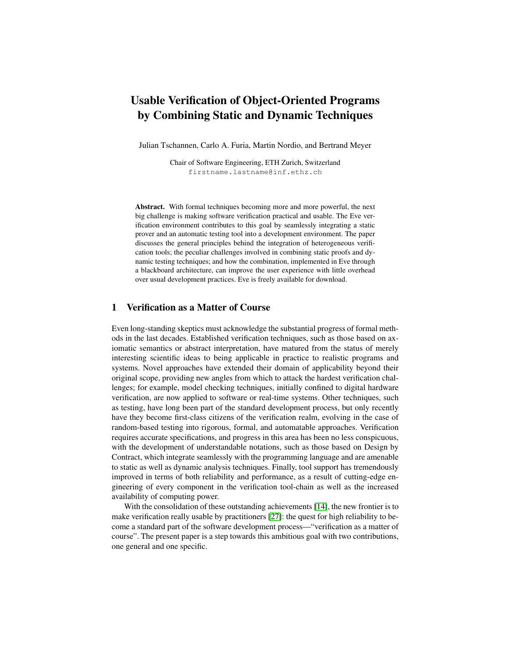# Usable Verification of Object-Oriented Programs by Combining Static and Dynamic Techniques

Julian Tschannen, Carlo A. Furia, Martin Nordio, and Bertrand Meyer

Chair of Software Engineering, ETH Zurich, Switzerland firstname.lastname@inf.ethz.ch

Abstract. With formal techniques becoming more and more powerful, the next big challenge is making software verification practical and usable. The Eve verification environment contributes to this goal by seamlessly integrating a static prover and an automatic testing tool into a development environment. The paper discusses the general principles behind the integration of heterogeneous verification tools; the peculiar challenges involved in combining static proofs and dynamic testing techniques; and how the combination, implemented in Eve through a blackboard architecture, can improve the user experience with little overhead over usual development practices. Eve is freely available for download.

# 1 Verification as a Matter of Course

Even long-standing skeptics must acknowledge the substantial progress of formal methods in the last decades. Established verification techniques, such as those based on axiomatic semantics or abstract interpretation, have matured from the status of merely interesting scientific ideas to being applicable in practice to realistic programs and systems. Novel approaches have extended their domain of applicability beyond their original scope, providing new angles from which to attack the hardest verification challenges; for example, model checking techniques, initially confined to digital hardware verification, are now applied to software or real-time systems. Other techniques, such as testing, have long been part of the standard development process, but only recently have they become first-class citizens of the verification realm, evolving in the case of random-based testing into rigorous, formal, and automatable approaches. Verification requires accurate specifications, and progress in this area has been no less conspicuous, with the development of understandable notations, such as those based on Design by Contract, which integrate seamlessly with the programming language and are amenable to static as well as dynamic analysis techniques. Finally, tool support has tremendously improved in terms of both reliability and performance, as a result of cutting-edge engineering of every component in the verification tool-chain as well as the increased availability of computing power.

With the consolidation of these outstanding achievements [\[14\]](#page-15-0), the new frontier is to make verification really usable by practitioners [\[27\]](#page-15-1): the quest for high reliability to become a standard part of the software development process—"verification as a matter of course". The present paper is a step towards this ambitious goal with two contributions, one general and one specific.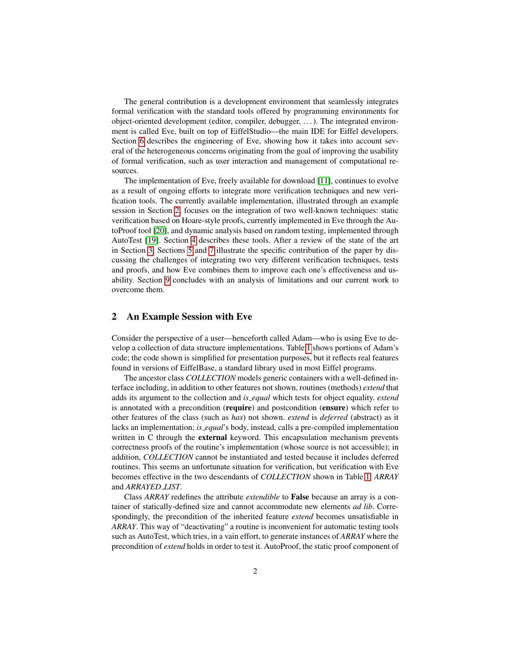The general contribution is a development environment that seamlessly integrates formal verification with the standard tools offered by programming environments for object-oriented development (editor, compiler, debugger, . . . ). The integrated environment is called Eve, built on top of EiffelStudio—the main IDE for Eiffel developers. Section [6](#page-7-0) describes the engineering of Eve, showing how it takes into account several of the heterogeneous concerns originating from the goal of improving the usability of formal verification, such as user interaction and management of computational resources.

The implementation of Eve, freely available for download [\[11\]](#page-15-2), continues to evolve as a result of ongoing efforts to integrate more verification techniques and new verification tools. The currently available implementation, illustrated through an example session in Section [2,](#page-1-0) focuses on the integration of two well-known techniques: static verification based on Hoare-style proofs, currently implemented in Eve through the AutoProof tool [\[20\]](#page-15-3), and dynamic analysis based on random testing, implemented through AutoTest [\[19\]](#page-15-4). Section [4](#page-5-0) describes these tools. After a review of the state of the art in Section [3,](#page-3-0) Sections [5](#page-5-1) and [7](#page-10-0) illustrate the specific contribution of the paper by discussing the challenges of integrating two very different verification techniques, tests and proofs, and how Eve combines them to improve each one's effectiveness and usability. Section [9](#page-13-0) concludes with an analysis of limitations and our current work to overcome them.

## <span id="page-1-0"></span>2 An Example Session with Eve

Consider the perspective of a user—henceforth called Adam—who is using Eve to develop a collection of data structure implementations. Table [1](#page-2-0) shows portions of Adam's code; the code shown is simplified for presentation purposes, but it reflects real features found in versions of EiffelBase, a standard library used in most Eiffel programs.

The ancestor class *COLLECTION* models generic containers with a well-defined interface including, in addition to other features not shown, routines (methods) *extend* that adds its argument to the collection and *is equal* which tests for object equality. *extend* is annotated with a precondition (require) and postcondition (ensure) which refer to other features of the class (such as *has*) not shown. *extend* is *deferred* (abstract) as it lacks an implementation; *is equal*'s body, instead, calls a pre-compiled implementation written in C through the **external** keyword. This encapsulation mechanism prevents correctness proofs of the routine's implementation (whose source is not accessible); in addition, *COLLECTION* cannot be instantiated and tested because it includes deferred routines. This seems an unfortunate situation for verification, but verification with Eve becomes effective in the two descendants of *COLLECTION* shown in Table [1:](#page-2-0) *ARRAY* and *ARRAYED LIST*.

Class *ARRAY* redefines the attribute *extendible* to False because an array is a container of statically-defined size and cannot accommodate new elements *ad lib*. Correspondingly, the precondition of the inherited feature *extend* becomes unsatisfiable in *ARRAY*. This way of "deactivating" a routine is inconvenient for automatic testing tools such as AutoTest, which tries, in a vain effort, to generate instances of *ARRAY* where the precondition of *extend* holds in order to test it. AutoProof, the static proof component of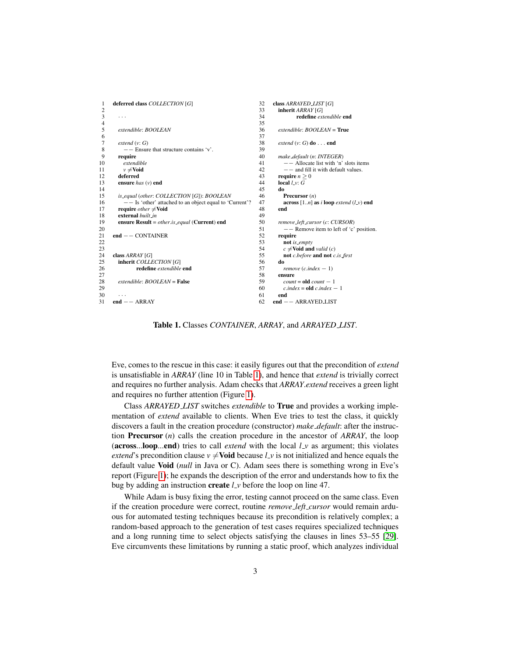| 1              | deferred class COLLECTION [G]                                  | 32 | class $ARRAYED\_\_IST[G]$                     |
|----------------|----------------------------------------------------------------|----|-----------------------------------------------|
| $\overline{c}$ |                                                                | 33 | inherit $ARRAY[G]$                            |
| 3              | .                                                              | 34 | redefine extendible end                       |
| 4              |                                                                | 35 |                                               |
| 5              | extendible: BOOLEAN                                            | 36 | $extendible: BOOLEAN = True$                  |
| 6              |                                                                | 37 |                                               |
| 7              | extend $(v: G)$                                                | 38 | extend $(v: G)$ do  end                       |
| 8              | $\mathbf{y} = -\mathbf{y}$ Ensure that structure contains 'v'. | 39 |                                               |
| 9              | require                                                        | 40 | make_default (n: INTEGER)                     |
| 10             | extendible                                                     | 41 | $--$ Allocate list with 'n' slots items       |
| 11             | $v \neq$ Void                                                  | 42 | $-$ and fill it with default values.          |
| 12             | deferred                                                       | 43 | require $n \geq 0$                            |
| 13             | ensure has $(v)$ end                                           | 44 | local $L_v$ : $G$                             |
| 14             |                                                                | 45 | do                                            |
| 15             | is_equal (other: COLLECTION [G]): BOOLEAN                      | 46 | Precursor $(n)$                               |
| 16             | $---$ Is 'other' attached to an object equal to 'Current'?     | 47 | across $[1n]$ as i loop extend $(l_1, v)$ end |
| 17             | require <i>other</i> $\neq$ <b>Void</b>                        | 48 | end                                           |
| 18             | external built_in                                              | 49 |                                               |
| 19             | ensure $Result = other.is\_equal$ (Current) end                | 50 | remove_left_cursor (c: CURSOR)                |
| 20             |                                                                | 51 | $--$ Remove item to left of 'c' position.     |
| 21             | $end$ $-$ CONTAINER                                            | 52 | require                                       |
| 22             |                                                                | 53 | not is_empty                                  |
| 23             |                                                                | 54 | $c \neq$ Void and valid (c)                   |
| 24             | class $ARRAY$ [G]                                              | 55 | not c.before and not c.is_first               |
| 25             | inherit COLLECTION [G]                                         | 56 | do                                            |
| 26             | redefine extendible end                                        | 57 | remove $(c.index - 1)$                        |
| 27             |                                                                | 58 | ensure                                        |
| 28             | $extendible: BOOLEAN = False$                                  | 59 | $count = old$ count $-1$                      |
| 29             |                                                                | 60 | c.index = old c.index $-1$                    |
| 30             | .                                                              | 61 | end                                           |
| 31             | $end --- ARRAY$                                                | 62 | $end$ - $-$ ARRAYED LIST                      |

<span id="page-2-0"></span>Table 1. Classes *CONTAINER*, *ARRAY*, and *ARRAYED LIST*.

Eve, comes to the rescue in this case: it easily figures out that the precondition of *extend* is unsatisfiable in *ARRAY* (line 10 in Table [1\)](#page-2-0), and hence that *extend* is trivially correct and requires no further analysis. Adam checks that *ARRAY*.*extend* receives a green light and requires no further attention (Figure [1\)](#page-3-1).

Class *ARRAYED LIST* switches *extendible* to True and provides a working implementation of *extend* available to clients. When Eve tries to test the class, it quickly discovers a fault in the creation procedure (constructor) *make default*: after the instruction Precursor (*n*) calls the creation procedure in the ancestor of *ARRAY*, the loop (across...loop...end) tries to call *extend* with the local *l v* as argument; this violates *extend*'s precondition clause  $v \neq$ Void because *l v* is not initialized and hence equals the default value Void (*null* in Java or C). Adam sees there is something wrong in Eve's report (Figure [1\)](#page-3-1); he expands the description of the error and understands how to fix the bug by adding an instruction create *l v* before the loop on line 47.

While Adam is busy fixing the error, testing cannot proceed on the same class. Even if the creation procedure were correct, routine *remove left cursor* would remain arduous for automated testing techniques because its precondition is relatively complex; a random-based approach to the generation of test cases requires specialized techniques and a long running time to select objects satisfying the clauses in lines 53–55 [\[29\]](#page-15-5). Eve circumvents these limitations by running a static proof, which analyzes individual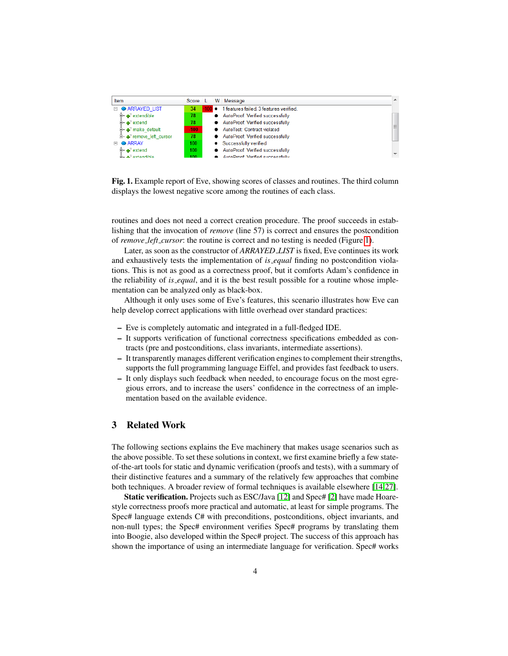| Item                                               | Score L |       | W. | Message                                 |                          |
|----------------------------------------------------|---------|-------|----|-----------------------------------------|--------------------------|
| □ ● ARRAYED LIST                                   | 34      | und o |    | 1 features failed. 3 features verified. |                          |
| $\mathbf{B}$ a <sup>=</sup> extendible             | 78      |       |    | AutoProof: Verified successfully        |                          |
| $\mathbf{H}$ are extend                            | 78      |       |    | AutoProof: Verified successfully        |                          |
| <b>E</b> + make default                            | $-100$  |       |    | AutoTest: Contract violated             | Ξ                        |
| $\overline{E}$ + $\overline{F}$ remove left cursor | 78.     |       |    | AutoProof: Verified successfully        |                          |
| $\Box$ $\bullet$ ARRAY                             | 100     |       |    | • Successfully verified                 |                          |
| <b>E</b> + extend                                  | 100     |       |    | AutoProof: Verified successfully        |                          |
| $\pm - \pm \frac{1}{2}$ extendible                 | 100.    |       |    | AutoProof: Varified euccessfully        | $\overline{\phantom{a}}$ |

<span id="page-3-1"></span>Fig. 1. Example report of Eve, showing scores of classes and routines. The third column displays the lowest negative score among the routines of each class.

routines and does not need a correct creation procedure. The proof succeeds in establishing that the invocation of *remove* (line 57) is correct and ensures the postcondition of *remove left cursor*: the routine is correct and no testing is needed (Figure [1\)](#page-3-1).

Later, as soon as the constructor of *ARRAYED LIST* is fixed, Eve continues its work and exhaustively tests the implementation of *is equal* finding no postcondition violations. This is not as good as a correctness proof, but it comforts Adam's confidence in the reliability of *is equal*, and it is the best result possible for a routine whose implementation can be analyzed only as black-box.

Although it only uses some of Eve's features, this scenario illustrates how Eve can help develop correct applications with little overhead over standard practices:

- Eve is completely automatic and integrated in a full-fledged IDE.
- It supports verification of functional correctness specifications embedded as contracts (pre and postconditions, class invariants, intermediate assertions).
- It transparently manages different verification engines to complement their strengths, supports the full programming language Eiffel, and provides fast feedback to users.
- It only displays such feedback when needed, to encourage focus on the most egregious errors, and to increase the users' confidence in the correctness of an implementation based on the available evidence.

# <span id="page-3-0"></span>3 Related Work

The following sections explains the Eve machinery that makes usage scenarios such as the above possible. To set these solutions in context, we first examine briefly a few stateof-the-art tools for static and dynamic verification (proofs and tests), with a summary of their distinctive features and a summary of the relatively few approaches that combine both techniques. A broader review of formal techniques is available elsewhere [\[14,](#page-15-0)[27\]](#page-15-1).

Static verification. Projects such as ESC/Java [\[12\]](#page-15-6) and Spec# [\[2\]](#page-14-0) have made Hoarestyle correctness proofs more practical and automatic, at least for simple programs. The Spec# language extends C# with preconditions, postconditions, object invariants, and non-null types; the Spec# environment verifies Spec# programs by translating them into Boogie, also developed within the Spec# project. The success of this approach has shown the importance of using an intermediate language for verification. Spec# works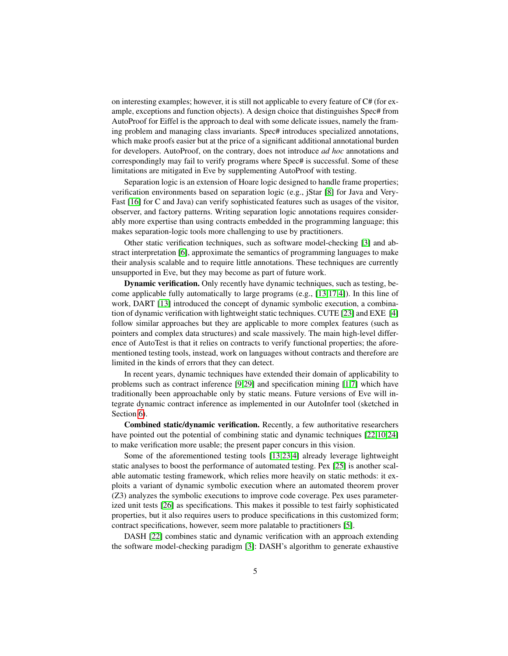on interesting examples; however, it is still not applicable to every feature of  $C#$  (for example, exceptions and function objects). A design choice that distinguishes Spec# from AutoProof for Eiffel is the approach to deal with some delicate issues, namely the framing problem and managing class invariants. Spec# introduces specialized annotations, which make proofs easier but at the price of a significant additional annotational burden for developers. AutoProof, on the contrary, does not introduce *ad hoc* annotations and correspondingly may fail to verify programs where Spec# is successful. Some of these limitations are mitigated in Eve by supplementing AutoProof with testing.

Separation logic is an extension of Hoare logic designed to handle frame properties; verification environments based on separation logic (e.g., jStar [\[8\]](#page-15-7) for Java and Very-Fast [\[16\]](#page-15-8) for C and Java) can verify sophisticated features such as usages of the visitor, observer, and factory patterns. Writing separation logic annotations requires considerably more expertise than using contracts embedded in the programming language; this makes separation-logic tools more challenging to use by practitioners.

Other static verification techniques, such as software model-checking [\[3\]](#page-15-9) and abstract interpretation [\[6\]](#page-15-10), approximate the semantics of programming languages to make their analysis scalable and to require little annotations. These techniques are currently unsupported in Eve, but they may become as part of future work.

Dynamic verification. Only recently have dynamic techniques, such as testing, become applicable fully automatically to large programs (e.g., [\[13](#page-15-11)[,17](#page-15-12)[,4\]](#page-15-13)). In this line of work, DART [\[13\]](#page-15-11) introduced the concept of dynamic symbolic execution, a combination of dynamic verification with lightweight static techniques. CUTE [\[23\]](#page-15-14) and EXE [\[4\]](#page-15-13) follow similar approaches but they are applicable to more complex features (such as pointers and complex data structures) and scale massively. The main high-level difference of AutoTest is that it relies on contracts to verify functional properties; the aforementioned testing tools, instead, work on languages without contracts and therefore are limited in the kinds of errors that they can detect.

In recent years, dynamic techniques have extended their domain of applicability to problems such as contract inference [\[9](#page-15-15)[,29\]](#page-15-5) and specification mining [\[1](#page-14-1)[,7\]](#page-15-16) which have traditionally been approachable only by static means. Future versions of Eve will integrate dynamic contract inference as implemented in our AutoInfer tool (sketched in Section [6\)](#page-7-0).

Combined static/dynamic verification. Recently, a few authoritative researchers have pointed out the potential of combining static and dynamic techniques [\[22](#page-15-17)[,10](#page-15-18)[,24\]](#page-15-19) to make verification more usable; the present paper concurs in this vision.

Some of the aforementioned testing tools [\[13,](#page-15-11)[23,](#page-15-14)[4\]](#page-15-13) already leverage lightweight static analyses to boost the performance of automated testing. Pex [\[25\]](#page-15-20) is another scalable automatic testing framework, which relies more heavily on static methods: it exploits a variant of dynamic symbolic execution where an automated theorem prover (Z3) analyzes the symbolic executions to improve code coverage. Pex uses parameterized unit tests [\[26\]](#page-15-21) as specifications. This makes it possible to test fairly sophisticated properties, but it also requires users to produce specifications in this customized form; contract specifications, however, seem more palatable to practitioners [\[5\]](#page-15-22).

DASH [\[22\]](#page-15-17) combines static and dynamic verification with an approach extending the software model-checking paradigm [\[3\]](#page-15-9): DASH's algorithm to generate exhaustive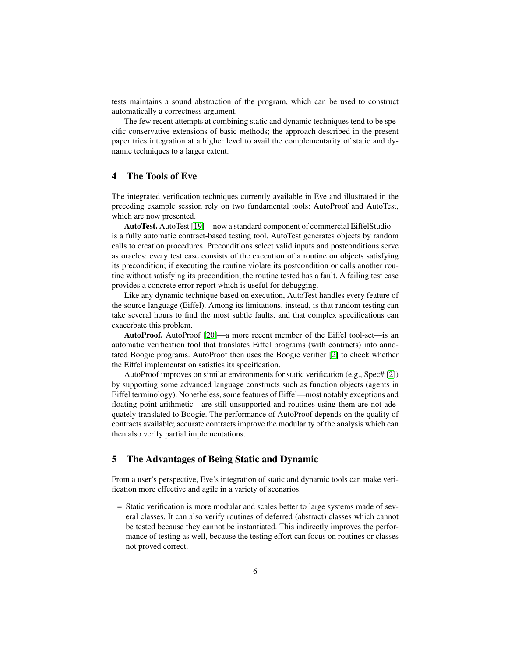tests maintains a sound abstraction of the program, which can be used to construct automatically a correctness argument.

The few recent attempts at combining static and dynamic techniques tend to be specific conservative extensions of basic methods; the approach described in the present paper tries integration at a higher level to avail the complementarity of static and dynamic techniques to a larger extent.

## <span id="page-5-0"></span>4 The Tools of Eve

The integrated verification techniques currently available in Eve and illustrated in the preceding example session rely on two fundamental tools: AutoProof and AutoTest, which are now presented.

AutoTest. AutoTest [\[19\]](#page-15-4)—now a standard component of commercial EiffelStudio is a fully automatic contract-based testing tool. AutoTest generates objects by random calls to creation procedures. Preconditions select valid inputs and postconditions serve as oracles: every test case consists of the execution of a routine on objects satisfying its precondition; if executing the routine violate its postcondition or calls another routine without satisfying its precondition, the routine tested has a fault. A failing test case provides a concrete error report which is useful for debugging.

Like any dynamic technique based on execution, AutoTest handles every feature of the source language (Eiffel). Among its limitations, instead, is that random testing can take several hours to find the most subtle faults, and that complex specifications can exacerbate this problem.

AutoProof. AutoProof [\[20\]](#page-15-3)—a more recent member of the Eiffel tool-set—is an automatic verification tool that translates Eiffel programs (with contracts) into annotated Boogie programs. AutoProof then uses the Boogie verifier [\[2\]](#page-14-0) to check whether the Eiffel implementation satisfies its specification.

AutoProof improves on similar environments for static verification (e.g., Spec# [\[2\]](#page-14-0)) by supporting some advanced language constructs such as function objects (agents in Eiffel terminology). Nonetheless, some features of Eiffel—most notably exceptions and floating point arithmetic—are still unsupported and routines using them are not adequately translated to Boogie. The performance of AutoProof depends on the quality of contracts available; accurate contracts improve the modularity of the analysis which can then also verify partial implementations.

# <span id="page-5-1"></span>5 The Advantages of Being Static and Dynamic

From a user's perspective, Eve's integration of static and dynamic tools can make verification more effective and agile in a variety of scenarios.

– Static verification is more modular and scales better to large systems made of several classes. It can also verify routines of deferred (abstract) classes which cannot be tested because they cannot be instantiated. This indirectly improves the performance of testing as well, because the testing effort can focus on routines or classes not proved correct.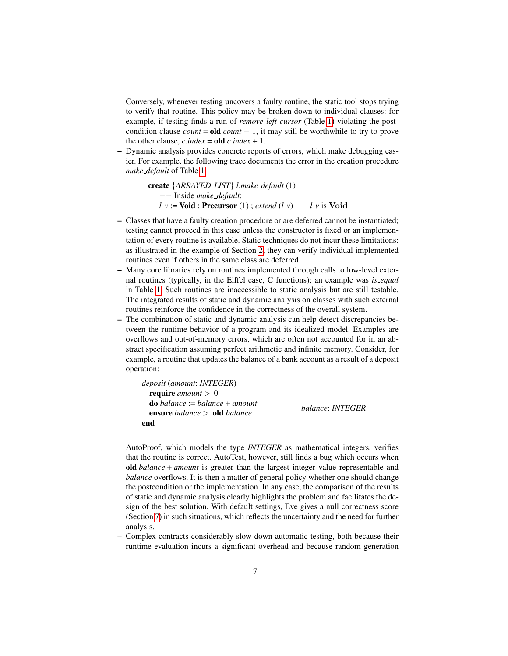Conversely, whenever testing uncovers a faulty routine, the static tool stops trying to verify that routine. This policy may be broken down to individual clauses: for example, if testing finds a run of *remove left cursor* (Table [1\)](#page-2-0) violating the postcondition clause  $count = old count - 1$ , it may still be worthwhile to try to prove the other clause, *c*.*index* = **old** *c.index* + 1.

– Dynamic analysis provides concrete reports of errors, which make debugging easier. For example, the following trace documents the error in the creation procedure *make default* of Table [1:](#page-2-0)

> create {*ARRAYED LIST*} *l*.*make default* (1) −− Inside *make default*: *l v* := Void ; Precursor (1) ; *extend* (*l v*) −− *l v* is Void

- Classes that have a faulty creation procedure or are deferred cannot be instantiated; testing cannot proceed in this case unless the constructor is fixed or an implementation of every routine is available. Static techniques do not incur these limitations: as illustrated in the example of Section [2,](#page-1-0) they can verify individual implemented routines even if others in the same class are deferred.
- Many core libraries rely on routines implemented through calls to low-level external routines (typically, in the Eiffel case, C functions); an example was *is equal* in Table [1.](#page-2-0) Such routines are inaccessible to static analysis but are still testable. The integrated results of static and dynamic analysis on classes with such external routines reinforce the confidence in the correctness of the overall system.
- The combination of static and dynamic analysis can help detect discrepancies between the runtime behavior of a program and its idealized model. Examples are overflows and out-of-memory errors, which are often not accounted for in an abstract specification assuming perfect arithmetic and infinite memory. Consider, for example, a routine that updates the balance of a bank account as a result of a deposit operation:

```
deposit (amount: INTEGER)
 require amount > 0
 do balance := balance + amount
 ensure balance > old balance
end
                                           balance: INTEGER
```
AutoProof, which models the type *INTEGER* as mathematical integers, verifies that the routine is correct. AutoTest, however, still finds a bug which occurs when old *balance* + *amount* is greater than the largest integer value representable and *balance* overflows. It is then a matter of general policy whether one should change the postcondition or the implementation. In any case, the comparison of the results of static and dynamic analysis clearly highlights the problem and facilitates the design of the best solution. With default settings, Eve gives a null correctness score (Section [7\)](#page-10-0) in such situations, which reflects the uncertainty and the need for further analysis.

– Complex contracts considerably slow down automatic testing, both because their runtime evaluation incurs a significant overhead and because random generation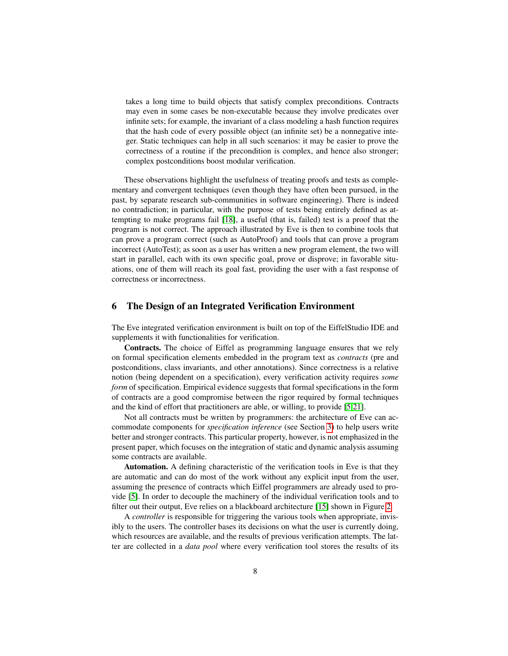takes a long time to build objects that satisfy complex preconditions. Contracts may even in some cases be non-executable because they involve predicates over infinite sets; for example, the invariant of a class modeling a hash function requires that the hash code of every possible object (an infinite set) be a nonnegative integer. Static techniques can help in all such scenarios: it may be easier to prove the correctness of a routine if the precondition is complex, and hence also stronger; complex postconditions boost modular verification.

These observations highlight the usefulness of treating proofs and tests as complementary and convergent techniques (even though they have often been pursued, in the past, by separate research sub-communities in software engineering). There is indeed no contradiction; in particular, with the purpose of tests being entirely defined as attempting to make programs fail [\[18\]](#page-15-23), a useful (that is, failed) test is a proof that the program is not correct. The approach illustrated by Eve is then to combine tools that can prove a program correct (such as AutoProof) and tools that can prove a program incorrect (AutoTest); as soon as a user has written a new program element, the two will start in parallel, each with its own specific goal, prove or disprove; in favorable situations, one of them will reach its goal fast, providing the user with a fast response of correctness or incorrectness.

#### <span id="page-7-0"></span>6 The Design of an Integrated Verification Environment

The Eve integrated verification environment is built on top of the EiffelStudio IDE and supplements it with functionalities for verification.

Contracts. The choice of Eiffel as programming language ensures that we rely on formal specification elements embedded in the program text as *contracts* (pre and postconditions, class invariants, and other annotations). Since correctness is a relative notion (being dependent on a specification), every verification activity requires *some form* of specification. Empirical evidence suggests that formal specifications in the form of contracts are a good compromise between the rigor required by formal techniques and the kind of effort that practitioners are able, or willing, to provide [\[5](#page-15-22)[,21\]](#page-15-24).

Not all contracts must be written by programmers: the architecture of Eve can accommodate components for *specification inference* (see Section [3\)](#page-3-0) to help users write better and stronger contracts. This particular property, however, is not emphasized in the present paper, which focuses on the integration of static and dynamic analysis assuming some contracts are available.

Automation. A defining characteristic of the verification tools in Eve is that they are automatic and can do most of the work without any explicit input from the user, assuming the presence of contracts which Eiffel programmers are already used to provide [\[5\]](#page-15-22). In order to decouple the machinery of the individual verification tools and to filter out their output, Eve relies on a blackboard architecture [\[15\]](#page-15-25) shown in Figure [2.](#page-8-0)

A *controller* is responsible for triggering the various tools when appropriate, invisibly to the users. The controller bases its decisions on what the user is currently doing, which resources are available, and the results of previous verification attempts. The latter are collected in a *data pool* where every verification tool stores the results of its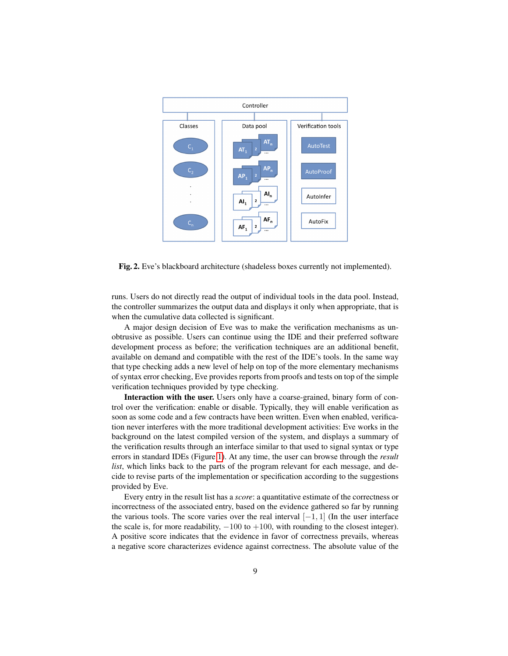

<span id="page-8-0"></span>Fig. 2. Eve's blackboard architecture (shadeless boxes currently not implemented).

runs. Users do not directly read the output of individual tools in the data pool. Instead, the controller summarizes the output data and displays it only when appropriate, that is when the cumulative data collected is significant.

A major design decision of Eve was to make the verification mechanisms as unobtrusive as possible. Users can continue using the IDE and their preferred software development process as before; the verification techniques are an additional benefit, available on demand and compatible with the rest of the IDE's tools. In the same way that type checking adds a new level of help on top of the more elementary mechanisms of syntax error checking, Eve provides reports from proofs and tests on top of the simple verification techniques provided by type checking.

Interaction with the user. Users only have a coarse-grained, binary form of control over the verification: enable or disable. Typically, they will enable verification as soon as some code and a few contracts have been written. Even when enabled, verification never interferes with the more traditional development activities: Eve works in the background on the latest compiled version of the system, and displays a summary of the verification results through an interface similar to that used to signal syntax or type errors in standard IDEs (Figure [1\)](#page-3-1). At any time, the user can browse through the *result list*, which links back to the parts of the program relevant for each message, and decide to revise parts of the implementation or specification according to the suggestions provided by Eve.

Every entry in the result list has a *score*: a quantitative estimate of the correctness or incorrectness of the associated entry, based on the evidence gathered so far by running the various tools. The score varies over the real interval  $[-1, 1]$  (In the user interface the scale is, for more readability,  $-100$  to  $+100$ , with rounding to the closest integer). A positive score indicates that the evidence in favor of correctness prevails, whereas a negative score characterizes evidence against correctness. The absolute value of the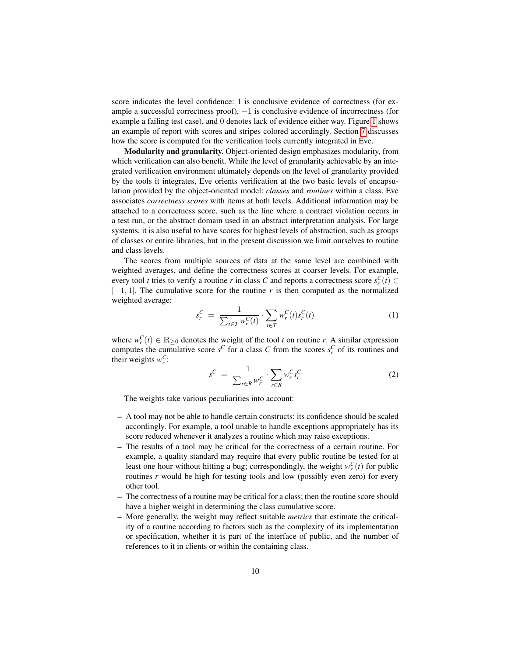score indicates the level confidence: 1 is conclusive evidence of correctness (for example a successful correctness proof), −1 is conclusive evidence of incorrectness (for example a failing test case), and 0 denotes lack of evidence either way. Figure [1](#page-3-1) shows an example of report with scores and stripes colored accordingly. Section [7](#page-10-0) discusses how the score is computed for the verification tools currently integrated in Eve.

Modularity and granularity. Object-oriented design emphasizes modularity, from which verification can also benefit. While the level of granularity achievable by an integrated verification environment ultimately depends on the level of granularity provided by the tools it integrates, Eve orients verification at the two basic levels of encapsulation provided by the object-oriented model: *classes* and *routines* within a class. Eve associates *correctness scores* with items at both levels. Additional information may be attached to a correctness score, such as the line where a contract violation occurs in a test run, or the abstract domain used in an abstract interpretation analysis. For large systems, it is also useful to have scores for highest levels of abstraction, such as groups of classes or entire libraries, but in the present discussion we limit ourselves to routine and class levels.

The scores from multiple sources of data at the same level are combined with weighted averages, and define the correctness scores at coarser levels. For example, every tool *t* tries to verify a routine *r* in class *C* and reports a correctness score  $s_r^C(t) \in$  $[-1, 1]$ . The cumulative score for the routine *r* is then computed as the normalized weighted average:

<span id="page-9-0"></span>
$$
s_r^C = \frac{1}{\sum_{t \in T} w_r^C(t)} \cdot \sum_{t \in T} w_r^C(t) s_r^C(t)
$$
 (1)

where  $w_r^C(t) \in \mathbb{R}_{\geq 0}$  denotes the weight of the tool *t* on routine *r*. A similar expression computes the cumulative score  $s^C$  for a class *C* from the scores  $s^C_r$  of its routines and their weights  $w_r^C$ :

<span id="page-9-1"></span>
$$
s^C = \frac{1}{\sum_{r \in R} w_r^C} \cdot \sum_{r \in R} w_r^C s_r^C \tag{2}
$$

The weights take various peculiarities into account:

- A tool may not be able to handle certain constructs: its confidence should be scaled accordingly. For example, a tool unable to handle exceptions appropriately has its score reduced whenever it analyzes a routine which may raise exceptions.
- The results of a tool may be critical for the correctness of a certain routine. For example, a quality standard may require that every public routine be tested for at least one hour without hitting a bug; correspondingly, the weight  $w_r^C(t)$  for public routines *r* would be high for testing tools and low (possibly even zero) for every other tool.
- The correctness of a routine may be critical for a class; then the routine score should have a higher weight in determining the class cumulative score.
- More generally, the weight may reflect suitable *metrics* that estimate the criticality of a routine according to factors such as the complexity of its implementation or specification, whether it is part of the interface of public, and the number of references to it in clients or within the containing class.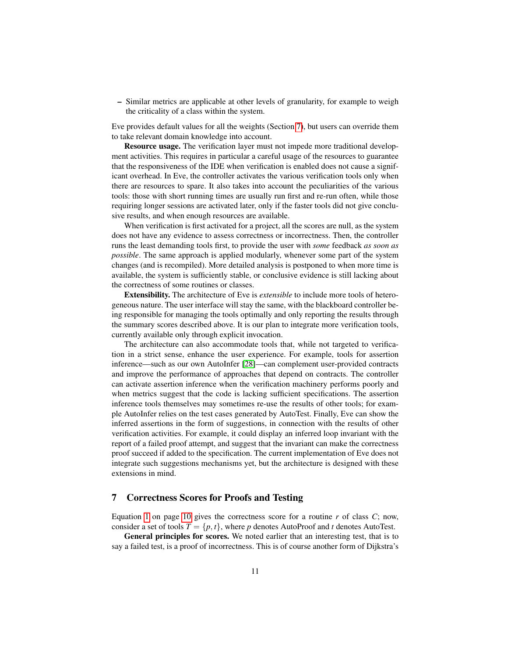– Similar metrics are applicable at other levels of granularity, for example to weigh the criticality of a class within the system.

Eve provides default values for all the weights (Section [7\)](#page-10-0), but users can override them to take relevant domain knowledge into account.

Resource usage. The verification layer must not impede more traditional development activities. This requires in particular a careful usage of the resources to guarantee that the responsiveness of the IDE when verification is enabled does not cause a significant overhead. In Eve, the controller activates the various verification tools only when there are resources to spare. It also takes into account the peculiarities of the various tools: those with short running times are usually run first and re-run often, while those requiring longer sessions are activated later, only if the faster tools did not give conclusive results, and when enough resources are available.

When verification is first activated for a project, all the scores are null, as the system does not have any evidence to assess correctness or incorrectness. Then, the controller runs the least demanding tools first, to provide the user with *some* feedback *as soon as possible*. The same approach is applied modularly, whenever some part of the system changes (and is recompiled). More detailed analysis is postponed to when more time is available, the system is sufficiently stable, or conclusive evidence is still lacking about the correctness of some routines or classes.

Extensibility. The architecture of Eve is *extensible* to include more tools of heterogeneous nature. The user interface will stay the same, with the blackboard controller being responsible for managing the tools optimally and only reporting the results through the summary scores described above. It is our plan to integrate more verification tools, currently available only through explicit invocation.

The architecture can also accommodate tools that, while not targeted to verification in a strict sense, enhance the user experience. For example, tools for assertion inference—such as our own AutoInfer [\[28\]](#page-15-26)—can complement user-provided contracts and improve the performance of approaches that depend on contracts. The controller can activate assertion inference when the verification machinery performs poorly and when metrics suggest that the code is lacking sufficient specifications. The assertion inference tools themselves may sometimes re-use the results of other tools; for example AutoInfer relies on the test cases generated by AutoTest. Finally, Eve can show the inferred assertions in the form of suggestions, in connection with the results of other verification activities. For example, it could display an inferred loop invariant with the report of a failed proof attempt, and suggest that the invariant can make the correctness proof succeed if added to the specification. The current implementation of Eve does not integrate such suggestions mechanisms yet, but the architecture is designed with these extensions in mind.

## <span id="page-10-0"></span>7 Correctness Scores for Proofs and Testing

Equation [1](#page-9-0) on page [10](#page-9-0) gives the correctness score for a routine *r* of class *C*; now, consider a set of tools  $T = \{p, t\}$ , where p denotes AutoProof and t denotes AutoTest.

General principles for scores. We noted earlier that an interesting test, that is to say a failed test, is a proof of incorrectness. This is of course another form of Dijkstra's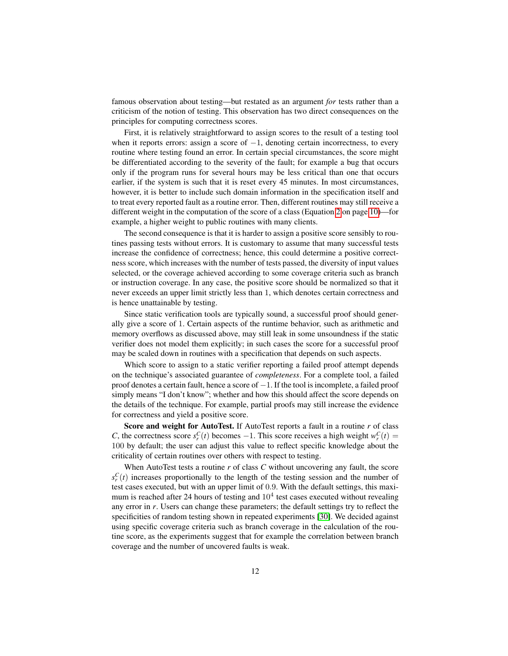famous observation about testing—but restated as an argument *for* tests rather than a criticism of the notion of testing. This observation has two direct consequences on the principles for computing correctness scores.

First, it is relatively straightforward to assign scores to the result of a testing tool when it reports errors: assign a score of  $-1$ , denoting certain incorrectness, to every routine where testing found an error. In certain special circumstances, the score might be differentiated according to the severity of the fault; for example a bug that occurs only if the program runs for several hours may be less critical than one that occurs earlier, if the system is such that it is reset every 45 minutes. In most circumstances, however, it is better to include such domain information in the specification itself and to treat every reported fault as a routine error. Then, different routines may still receive a different weight in the computation of the score of a class (Equation [2](#page-9-1) on page [10\)](#page-9-1)—for example, a higher weight to public routines with many clients.

The second consequence is that it is harder to assign a positive score sensibly to routines passing tests without errors. It is customary to assume that many successful tests increase the confidence of correctness; hence, this could determine a positive correctness score, which increases with the number of tests passed, the diversity of input values selected, or the coverage achieved according to some coverage criteria such as branch or instruction coverage. In any case, the positive score should be normalized so that it never exceeds an upper limit strictly less than 1, which denotes certain correctness and is hence unattainable by testing.

Since static verification tools are typically sound, a successful proof should generally give a score of 1. Certain aspects of the runtime behavior, such as arithmetic and memory overflows as discussed above, may still leak in some unsoundness if the static verifier does not model them explicitly; in such cases the score for a successful proof may be scaled down in routines with a specification that depends on such aspects.

Which score to assign to a static verifier reporting a failed proof attempt depends on the technique's associated guarantee of *completeness*. For a complete tool, a failed proof denotes a certain fault, hence a score of −1. If the tool is incomplete, a failed proof simply means "I don't know"; whether and how this should affect the score depends on the details of the technique. For example, partial proofs may still increase the evidence for correctness and yield a positive score.

Score and weight for AutoTest. If AutoTest reports a fault in a routine *r* of class *C*, the correctness score  $s_r^C(t)$  becomes −1. This score receives a high weight  $w_r^C(t)$  = 100 by default; the user can adjust this value to reflect specific knowledge about the criticality of certain routines over others with respect to testing.

When AutoTest tests a routine *r* of class *C* without uncovering any fault, the score  $s_r^C(t)$  increases proportionally to the length of the testing session and the number of test cases executed, but with an upper limit of 0.9. With the default settings, this maximum is reached after 24 hours of testing and  $10<sup>4</sup>$  test cases executed without revealing any error in *r*. Users can change these parameters; the default settings try to reflect the specificities of random testing shown in repeated experiments [\[30\]](#page-15-27). We decided against using specific coverage criteria such as branch coverage in the calculation of the routine score, as the experiments suggest that for example the correlation between branch coverage and the number of uncovered faults is weak.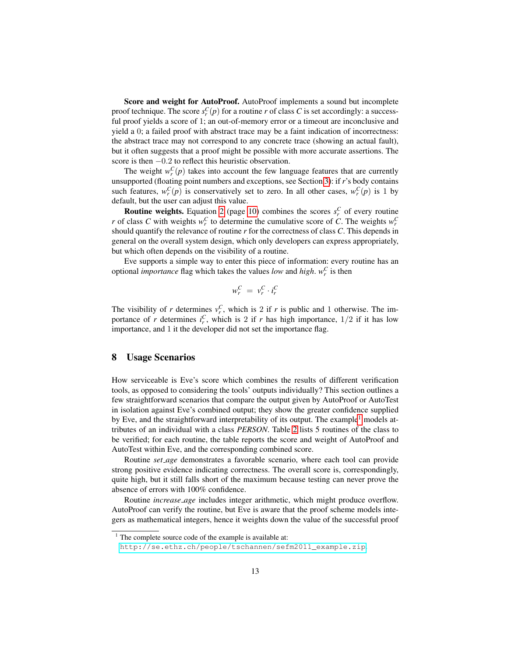Score and weight for AutoProof. AutoProof implements a sound but incomplete proof technique. The score  $s_r^C(p)$  for a routine *r* of class *C* is set accordingly: a successful proof yields a score of 1; an out-of-memory error or a timeout are inconclusive and yield a 0; a failed proof with abstract trace may be a faint indication of incorrectness: the abstract trace may not correspond to any concrete trace (showing an actual fault), but it often suggests that a proof might be possible with more accurate assertions. The score is then −0.2 to reflect this heuristic observation.

The weight  $w_r^C(p)$  takes into account the few language features that are currently unsupported (floating point numbers and exceptions, see Section [3\)](#page-3-0): if *r*'s body contains such features,  $w_r^C(p)$  is conservatively set to zero. In all other cases,  $w_r^C(p)$  is 1 by default, but the user can adjust this value.

**Routine weights.** Equation [2](#page-9-1) (page [10\)](#page-9-1) combines the scores  $s_r^C$  of every routine *r* of class *C* with weights  $w_r^C$  to determine the cumulative score of *C*. The weights  $w_r^C$ should quantify the relevance of routine *r* for the correctness of class *C*. This depends in general on the overall system design, which only developers can express appropriately, but which often depends on the visibility of a routine.

Eve supports a simple way to enter this piece of information: every routine has an optional *importance* flag which takes the values *low* and *high*.  $w_r^C$  is then

$$
w_r^C = v_r^C \cdot i_r^C
$$

The visibility of *r* determines  $v_r^C$ , which is 2 if *r* is public and 1 otherwise. The importance of *r* determines  $i_r^C$ , which is 2 if *r* has high importance,  $1/2$  if it has low importance, and 1 it the developer did not set the importance flag.

#### 8 Usage Scenarios

How serviceable is Eve's score which combines the results of different verification tools, as opposed to considering the tools' outputs individually? This section outlines a few straightforward scenarios that compare the output given by AutoProof or AutoTest in isolation against Eve's combined output; they show the greater confidence supplied by Eve, and the straightforward interpretability of its output. The example<sup>[1](#page-12-0)</sup> models attributes of an individual with a class *PERSON*. Table [2](#page-13-1) lists 5 routines of the class to be verified; for each routine, the table reports the score and weight of AutoProof and AutoTest within Eve, and the corresponding combined score.

Routine *set age* demonstrates a favorable scenario, where each tool can provide strong positive evidence indicating correctness. The overall score is, correspondingly, quite high, but it still falls short of the maximum because testing can never prove the absence of errors with 100% confidence.

Routine *increase age* includes integer arithmetic, which might produce overflow. AutoProof can verify the routine, but Eve is aware that the proof scheme models integers as mathematical integers, hence it weights down the value of the successful proof

<span id="page-12-0"></span> $1$  The complete source code of the example is available at:

[http://se.ethz.ch/people/tschannen/sefm2011\\_example.zip](http://se.ethz.ch/people/tschannen/sefm2011_example.zip).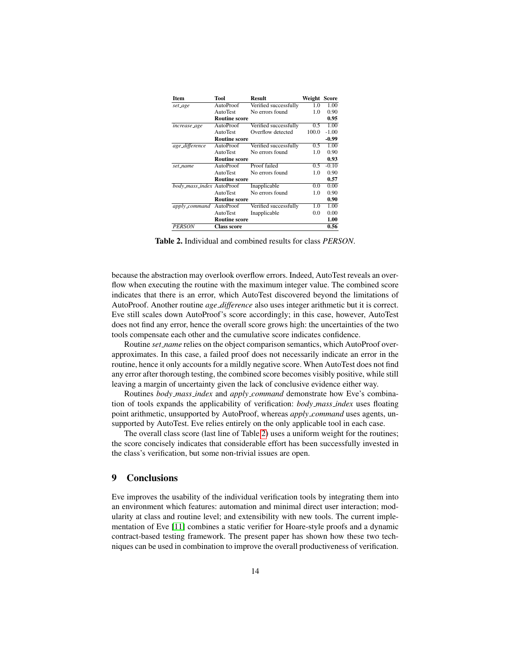| Item                      | Tool                 | <b>Result</b>         | Weight  | Score   |
|---------------------------|----------------------|-----------------------|---------|---------|
| set_age                   | AutoProof            | Verified successfully | 1.0     | 1.00    |
|                           | <b>AutoTest</b>      | No errors found       | 1.0     | 0.90    |
|                           | <b>Routine score</b> |                       | 0.95    |         |
| increase_age              | AutoProof            | Verified successfully | 0.5     | 1.00    |
|                           | AutoTest             | Overflow detected     | 100.0   | $-1.00$ |
|                           | <b>Routine score</b> |                       | $-0.99$ |         |
| age_difference            | AutoProof            | Verified successfully | 0.5     | 1.00    |
|                           | AutoTest             | No errors found       | 1.0     | 0.90    |
|                           | <b>Routine score</b> |                       |         | 0.93    |
| set_name                  | AutoProof            | Proof failed          | 0.5     | $-0.10$ |
|                           | <b>AutoTest</b>      | No errors found       | 1.0     | 0.90    |
|                           | <b>Routine score</b> |                       | 0.57    |         |
| body_mass_index_AutoProof |                      | Inapplicable          | 0.0     | 0.00    |
|                           | <b>AutoTest</b>      | No errors found       | 1.0     | 0.90    |
|                           | <b>Routine score</b> |                       | 0.90    |         |
| apply_command             | AutoProof            | Verified successfully | 1.0     | 1.00    |
|                           | AutoTest             | Inapplicable          | 0.0     | 0.00    |
|                           | <b>Routine score</b> |                       |         | 1.00    |
| <i>PERSON</i>             | <b>Class score</b>   |                       |         | 0.56    |

<span id="page-13-1"></span>Table 2. Individual and combined results for class *PERSON*.

because the abstraction may overlook overflow errors. Indeed, AutoTest reveals an overflow when executing the routine with the maximum integer value. The combined score indicates that there is an error, which AutoTest discovered beyond the limitations of AutoProof. Another routine *age difference* also uses integer arithmetic but it is correct. Eve still scales down AutoProof's score accordingly; in this case, however, AutoTest does not find any error, hence the overall score grows high: the uncertainties of the two tools compensate each other and the cumulative score indicates confidence.

Routine *set name* relies on the object comparison semantics, which AutoProof overapproximates. In this case, a failed proof does not necessarily indicate an error in the routine, hence it only accounts for a mildly negative score. When AutoTest does not find any error after thorough testing, the combined score becomes visibly positive, while still leaving a margin of uncertainty given the lack of conclusive evidence either way.

Routines *body mass index* and *apply command* demonstrate how Eve's combination of tools expands the applicability of verification: *body mass index* uses floating point arithmetic, unsupported by AutoProof, whereas *apply command* uses agents, unsupported by AutoTest. Eve relies entirely on the only applicable tool in each case.

The overall class score (last line of Table [2\)](#page-13-1) uses a uniform weight for the routines; the score concisely indicates that considerable effort has been successfully invested in the class's verification, but some non-trivial issues are open.

# <span id="page-13-0"></span>9 Conclusions

Eve improves the usability of the individual verification tools by integrating them into an environment which features: automation and minimal direct user interaction; modularity at class and routine level; and extensibility with new tools. The current implementation of Eve [\[11\]](#page-15-2) combines a static verifier for Hoare-style proofs and a dynamic contract-based testing framework. The present paper has shown how these two techniques can be used in combination to improve the overall productiveness of verification.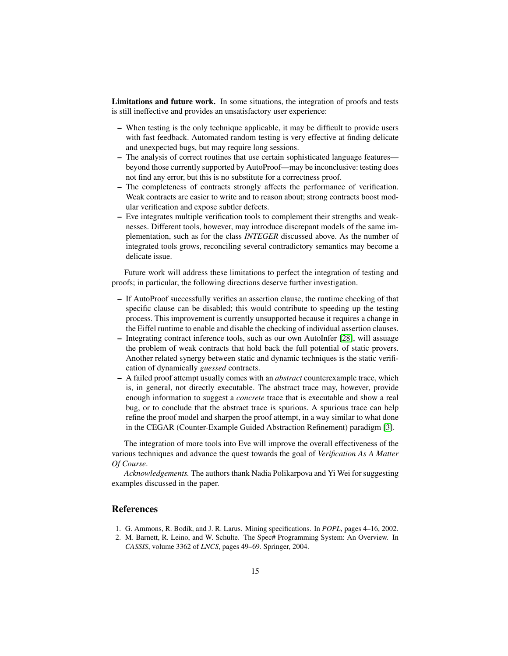Limitations and future work. In some situations, the integration of proofs and tests is still ineffective and provides an unsatisfactory user experience:

- When testing is the only technique applicable, it may be difficult to provide users with fast feedback. Automated random testing is very effective at finding delicate and unexpected bugs, but may require long sessions.
- The analysis of correct routines that use certain sophisticated language features beyond those currently supported by AutoProof—may be inconclusive: testing does not find any error, but this is no substitute for a correctness proof.
- The completeness of contracts strongly affects the performance of verification. Weak contracts are easier to write and to reason about; strong contracts boost modular verification and expose subtler defects.
- Eve integrates multiple verification tools to complement their strengths and weaknesses. Different tools, however, may introduce discrepant models of the same implementation, such as for the class *INTEGER* discussed above. As the number of integrated tools grows, reconciling several contradictory semantics may become a delicate issue.

Future work will address these limitations to perfect the integration of testing and proofs; in particular, the following directions deserve further investigation.

- If AutoProof successfully verifies an assertion clause, the runtime checking of that specific clause can be disabled; this would contribute to speeding up the testing process. This improvement is currently unsupported because it requires a change in the Eiffel runtime to enable and disable the checking of individual assertion clauses.
- Integrating contract inference tools, such as our own AutoInfer [\[28\]](#page-15-26), will assuage the problem of weak contracts that hold back the full potential of static provers. Another related synergy between static and dynamic techniques is the static verification of dynamically *guessed* contracts.
- A failed proof attempt usually comes with an *abstract* counterexample trace, which is, in general, not directly executable. The abstract trace may, however, provide enough information to suggest a *concrete* trace that is executable and show a real bug, or to conclude that the abstract trace is spurious. A spurious trace can help refine the proof model and sharpen the proof attempt, in a way similar to what done in the CEGAR (Counter-Example Guided Abstraction Refinement) paradigm [\[3\]](#page-15-9).

The integration of more tools into Eve will improve the overall effectiveness of the various techniques and advance the quest towards the goal of *Verification As A Matter Of Course*.

*Acknowledgements.* The authors thank Nadia Polikarpova and Yi Wei for suggesting examples discussed in the paper.

## References

- <span id="page-14-1"></span>1. G. Ammons, R. Bodík, and J. R. Larus. Mining specifications. In *POPL*, pages 4–16, 2002.
- <span id="page-14-0"></span>2. M. Barnett, R. Leino, and W. Schulte. The Spec# Programming System: An Overview. In *CASSIS*, volume 3362 of *LNCS*, pages 49–69. Springer, 2004.